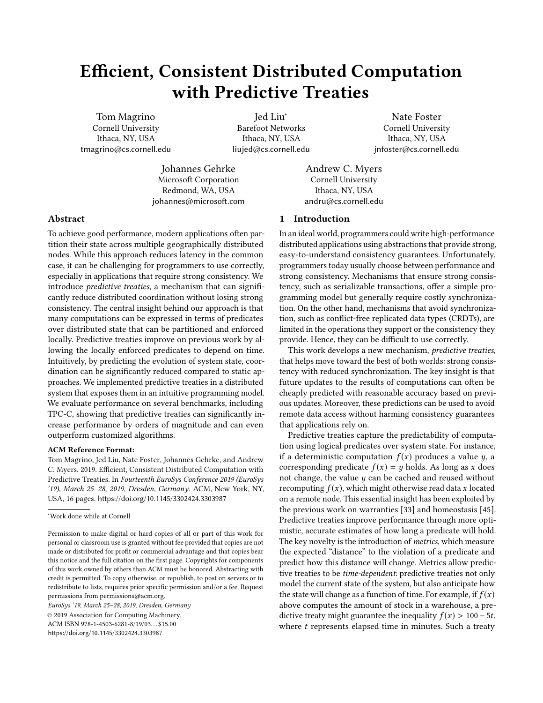# Efficient, Consistent Distributed Computation with Predictive Treaties

Tom Magrino Cornell University Ithaca, NY, USA tmagrino@cs.cornell.edu

Jed Liu<sup>∗</sup> Barefoot Networks Ithaca, NY, USA liujed@cs.cornell.edu

Nate Foster Cornell University Ithaca, NY, USA jnfoster@cs.cornell.edu

Johannes Gehrke Microsoft Corporation Redmond, WA, USA johannes@microsoft.com

Andrew C. Myers Cornell University Ithaca, NY, USA andru@cs.cornell.edu

# 1 Introduction

In an ideal world, programmers could write high-performance distributed applications using abstractions that provide strong, easy-to-understand consistency guarantees. Unfortunately, programmers today usually choose between performance and strong consistency. Mechanisms that ensure strong consistency, such as serializable transactions, offer a simple programming model but generally require costly synchronization. On the other hand, mechanisms that avoid synchronization, such as conflict-free replicated data types (CRDTs), are limited in the operations they support or the consistency they provide. Hence, they can be difficult to use correctly.

This work develops a new mechanism, predictive treaties, that helps move toward the best of both worlds: strong consistency with reduced synchronization. The key insight is that future updates to the results of computations can often be cheaply predicted with reasonable accuracy based on previous updates. Moreover, these predictions can be used to avoid remote data access without harming consistency guarantees that applications rely on.

Predictive treaties capture the predictability of computation using logical predicates over system state. For instance, if a deterministic computation  $f(x)$  produces a value y, a corresponding predicate  $f(x) = y$  holds. As long as x does not change, the value  $y$  can be cached and reused without recomputing  $f(x)$ , which might otherwise read data x located on a remote node. This essential insight has been exploited by the previous work on warranties [\[33\]](#page-14-0) and homeostasis [\[45\]](#page-15-1). Predictive treaties improve performance through more optimistic, accurate estimates of how long a predicate will hold. The key novelty is the introduction of metrics, which measure the expected "distance" to the violation of a predicate and predict how this distance will change. Metrics allow predictive treaties to be time-dependent: predictive treaties not only model the current state of the system, but also anticipate how the state will change as a function of time. For example, if  $f(x)$ above computes the amount of stock in a warehouse, a predictive treaty might guarantee the inequality  $f(x) > 100 - 5t$ , where  $t$  represents elapsed time in minutes. Such a treaty

# Abstract

To achieve good performance, modern applications often partition their state across multiple geographically distributed nodes. While this approach reduces latency in the common case, it can be challenging for programmers to use correctly, especially in applications that require strong consistency. We introduce predictive treaties, a mechanism that can significantly reduce distributed coordination without losing strong consistency. The central insight behind our approach is that many computations can be expressed in terms of predicates over distributed state that can be partitioned and enforced locally. Predictive treaties improve on previous work by allowing the locally enforced predicates to depend on time. Intuitively, by predicting the evolution of system state, coordination can be significantly reduced compared to static approaches. We implemented predictive treaties in a distributed system that exposes them in an intuitive programming model. We evaluate performance on several benchmarks, including TPC-C, showing that predictive treaties can significantly increase performance by orders of magnitude and can even outperform customized algorithms.

## ACM Reference Format:

Tom Magrino, Jed Liu, Nate Foster, Johannes Gehrke, and Andrew C. Myers. 2019. Efficient, Consistent Distributed Computation with Predictive Treaties. In Fourteenth EuroSys Conference 2019 (EuroSys '19), March 25–28, 2019, Dresden, Germany. ACM, New York, NY, USA, [16](#page-15-0) pages. <https://doi.org/10.1145/3302424.3303987>

EuroSys '19, March 25–28, 2019, Dresden, Germany

© 2019 Association for Computing Machinery. ACM ISBN 978-1-4503-6281-8/19/03. . . \$15.00 <https://doi.org/10.1145/3302424.3303987>

<sup>∗</sup>Work done while at Cornell

Permission to make digital or hard copies of all or part of this work for personal or classroom use is granted without fee provided that copies are not made or distributed for profit or commercial advantage and that copies bear this notice and the full citation on the first page. Copyrights for components of this work owned by others than ACM must be honored. Abstracting with credit is permitted. To copy otherwise, or republish, to post on servers or to redistribute to lists, requires prior specific permission and/or a fee. Request permissions from permissions@acm.org.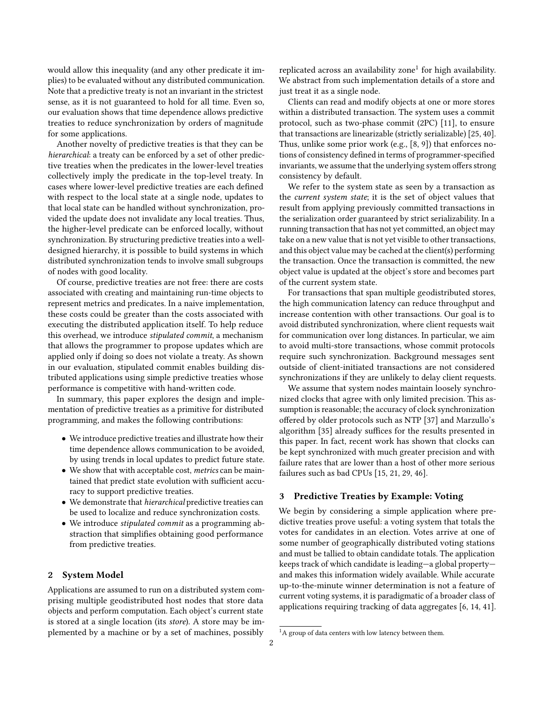would allow this inequality (and any other predicate it implies) to be evaluated without any distributed communication. Note that a predictive treaty is not an invariant in the strictest sense, as it is not guaranteed to hold for all time. Even so, our evaluation shows that time dependence allows predictive treaties to reduce synchronization by orders of magnitude for some applications.

Another novelty of predictive treaties is that they can be hierarchical: a treaty can be enforced by a set of other predictive treaties when the predicates in the lower-level treaties collectively imply the predicate in the top-level treaty. In cases where lower-level predictive treaties are each defined with respect to the local state at a single node, updates to that local state can be handled without synchronization, provided the update does not invalidate any local treaties. Thus, the higher-level predicate can be enforced locally, without synchronization. By structuring predictive treaties into a welldesigned hierarchy, it is possible to build systems in which distributed synchronization tends to involve small subgroups of nodes with good locality.

Of course, predictive treaties are not free: there are costs associated with creating and maintaining run-time objects to represent metrics and predicates. In a naive implementation, these costs could be greater than the costs associated with executing the distributed application itself. To help reduce this overhead, we introduce stipulated commit, a mechanism that allows the programmer to propose updates which are applied only if doing so does not violate a treaty. As shown in our evaluation, stipulated commit enables building distributed applications using simple predictive treaties whose performance is competitive with hand-written code.

In summary, this paper explores the design and implementation of predictive treaties as a primitive for distributed programming, and makes the following contributions:

- We introduce predictive treaties and illustrate how their time dependence allows communication to be avoided, by using trends in local updates to predict future state.
- We show that with acceptable cost, *metrics* can be maintained that predict state evolution with sufficient accuracy to support predictive treaties.
- We demonstrate that hierarchical predictive treaties can be used to localize and reduce synchronization costs.
- We introduce stipulated commit as a programming abstraction that simplifies obtaining good performance from predictive treaties.

## 2 System Model

Applications are assumed to run on a distributed system comprising multiple geodistributed host nodes that store data objects and perform computation. Each object's current state is stored at a single location (its store). A store may be implemented by a machine or by a set of machines, possibly

replicated across an availability zone<sup>[1](#page-1-0)</sup> for high availability. We abstract from such implementation details of a store and just treat it as a single node.

Clients can read and modify objects at one or more stores within a distributed transaction. The system uses a commit protocol, such as two-phase commit (2PC) [\[11\]](#page-14-1), to ensure that transactions are linearizable (strictly serializable) [\[25,](#page-14-2) [40\]](#page-14-3). Thus, unlike some prior work (e.g., [\[8,](#page-14-4) [9\]](#page-14-5)) that enforces notions of consistency defined in terms of programmer-specified invariants, we assume that the underlying system offers strong consistency by default.

We refer to the system state as seen by a transaction as the current system state; it is the set of object values that result from applying previously committed transactions in the serialization order guaranteed by strict serializability. In a running transaction that has not yet committed, an object may take on a new value that is not yet visible to other transactions, and this object value may be cached at the client(s) performing the transaction. Once the transaction is committed, the new object value is updated at the object's store and becomes part of the current system state.

For transactions that span multiple geodistributed stores, the high communication latency can reduce throughput and increase contention with other transactions. Our goal is to avoid distributed synchronization, where client requests wait for communication over long distances. In particular, we aim to avoid multi-store transactions, whose commit protocols require such synchronization. Background messages sent outside of client-initiated transactions are not considered synchronizations if they are unlikely to delay client requests.

We assume that system nodes maintain loosely synchronized clocks that agree with only limited precision. This assumption is reasonable; the accuracy of clock synchronization offered by older protocols such as NTP [\[37\]](#page-14-6) and Marzullo's algorithm [\[35\]](#page-14-7) already suffices for the results presented in this paper. In fact, recent work has shown that clocks can be kept synchronized with much greater precision and with failure rates that are lower than a host of other more serious failures such as bad CPUs [\[15,](#page-14-8) [21,](#page-14-9) [29,](#page-14-10) [46\]](#page-15-2).

## <span id="page-1-1"></span>3 Predictive Treaties by Example: Voting

We begin by considering a simple application where predictive treaties prove useful: a voting system that totals the votes for candidates in an election. Votes arrive at one of some number of geographically distributed voting stations and must be tallied to obtain candidate totals. The application keeps track of which candidate is leading—a global property and makes this information widely available. While accurate up-to-the-minute winner determination is not a feature of current voting systems, it is paradigmatic of a broader class of applications requiring tracking of data aggregates [\[6,](#page-14-11) [14,](#page-14-12) [41\]](#page-14-13).

<span id="page-1-0"></span> ${}^{1}$ A group of data centers with low latency between them.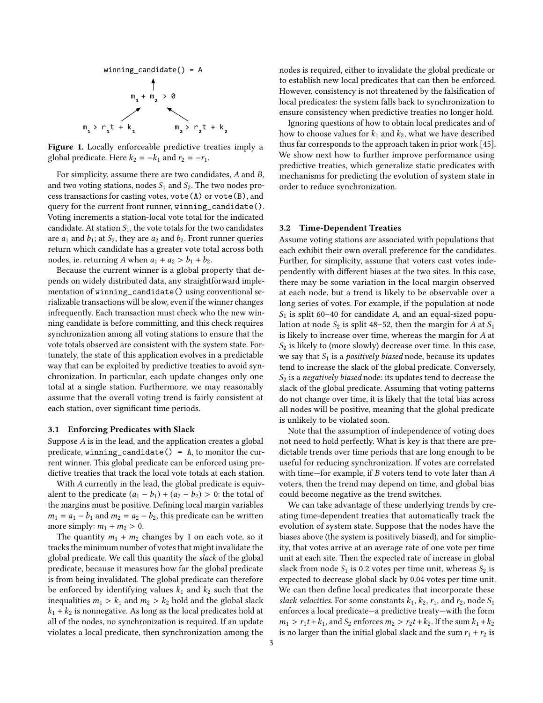<span id="page-2-0"></span>

Figure 1. Locally enforceable predictive treaties imply a global predicate. Here  $k_2 = -k_1$  and  $r_2 = -r_1$ .

For simplicity, assume there are two candidates, A and B, and two voting stations, nodes  $S_1$  and  $S_2$ . The two nodes process transactions for casting votes, vote(A) or vote(B), and query for the current front runner, winning\_candidate(). Voting increments a station-local vote total for the indicated candidate. At station  $S_1$ , the vote totals for the two candidates are  $a_1$  and  $b_1$ ; at  $S_2$ , they are  $a_2$  and  $b_2$ . Front runner queries return which candidate has a greater vote total across both nodes, ie. returning A when  $a_1 + a_2 > b_1 + b_2$ .

Because the current winner is a global property that depends on widely distributed data, any straightforward implementation of winning\_candidate() using conventional serializable transactions will be slow, even if the winner changes infrequently. Each transaction must check who the new winning candidate is before committing, and this check requires synchronization among all voting stations to ensure that the vote totals observed are consistent with the system state. Fortunately, the state of this application evolves in a predictable way that can be exploited by predictive treaties to avoid synchronization. In particular, each update changes only one total at a single station. Furthermore, we may reasonably assume that the overall voting trend is fairly consistent at each station, over significant time periods.

#### 3.1 Enforcing Predicates with Slack

Suppose A is in the lead, and the application creates a global predicate, winning\_candidate() =  $A$ , to monitor the current winner. This global predicate can be enforced using predictive treaties that track the local vote totals at each station.

With A currently in the lead, the global predicate is equivalent to the predicate  $(a_1 - b_1) + (a_2 - b_2) > 0$ : the total of the margins must be positive. Defining local margin variables  $m_1 = a_1 - b_1$  and  $m_2 = a_2 - b_2$ , this predicate can be written more simply:  $m_1 + m_2 > 0$ .

The quantity  $m_1 + m_2$  changes by 1 on each vote, so it tracks the minimum number of votes that might invalidate the global predicate. We call this quantity the slack of the global predicate, because it measures how far the global predicate is from being invalidated. The global predicate can therefore be enforced by identifying values  $k_1$  and  $k_2$  such that the inequalities  $m_1 > k_1$  and  $m_2 > k_2$  hold and the global slack  $k_1 + k_2$  is nonnegative. As long as the local predicates hold at all of the nodes, no synchronization is required. If an update violates a local predicate, then synchronization among the nodes is required, either to invalidate the global predicate or to establish new local predicates that can then be enforced. However, consistency is not threatened by the falsification of local predicates: the system falls back to synchronization to ensure consistency when predictive treaties no longer hold.

Ignoring questions of how to obtain local predicates and of how to choose values for  $k_1$  and  $k_2$ , what we have described thus far corresponds to the approach taken in prior work [\[45\]](#page-15-1). We show next how to further improve performance using predictive treaties, which generalize static predicates with mechanisms for predicting the evolution of system state in order to reduce synchronization.

## <span id="page-2-1"></span>3.2 Time-Dependent Treaties

Assume voting stations are associated with populations that each exhibit their own overall preference for the candidates. Further, for simplicity, assume that voters cast votes independently with different biases at the two sites. In this case, there may be some variation in the local margin observed at each node, but a trend is likely to be observable over a long series of votes. For example, if the population at node  $S_1$  is split 60–40 for candidate A, and an equal-sized population at node  $S_2$  is split 48–52, then the margin for A at  $S_1$ is likely to increase over time, whereas the margin for A at  $S_2$  is likely to (more slowly) decrease over time. In this case, we say that  $S_1$  is a *positively biased* node, because its updates tend to increase the slack of the global predicate. Conversely,  $S_2$  is a negatively biased node: its updates tend to decrease the slack of the global predicate. Assuming that voting patterns do not change over time, it is likely that the total bias across all nodes will be positive, meaning that the global predicate is unlikely to be violated soon.

Note that the assumption of independence of voting does not need to hold perfectly. What is key is that there are predictable trends over time periods that are long enough to be useful for reducing synchronization. If votes are correlated with time—for example, if B voters tend to vote later than A voters, then the trend may depend on time, and global bias could become negative as the trend switches.

We can take advantage of these underlying trends by creating time-dependent treaties that automatically track the evolution of system state. Suppose that the nodes have the biases above (the system is positively biased), and for simplicity, that votes arrive at an average rate of one vote per time unit at each site. Then the expected rate of increase in global slack from node  $S_1$  is 0.2 votes per time unit, whereas  $S_2$  is expected to decrease global slack by 0.04 votes per time unit. We can then define local predicates that incorporate these slack velocities. For some constants  $k_1$ ,  $k_2$ ,  $r_1$ , and  $r_2$ , node  $S_1$ enforces a local predicate—a predictive treaty—with the form  $m_1 > r_1t + k_1$ , and  $S_2$  enforces  $m_2 > r_2t + k_2$ . If the sum  $k_1 + k_2$ is no larger than the initial global slack and the sum  $r_1 + r_2$  is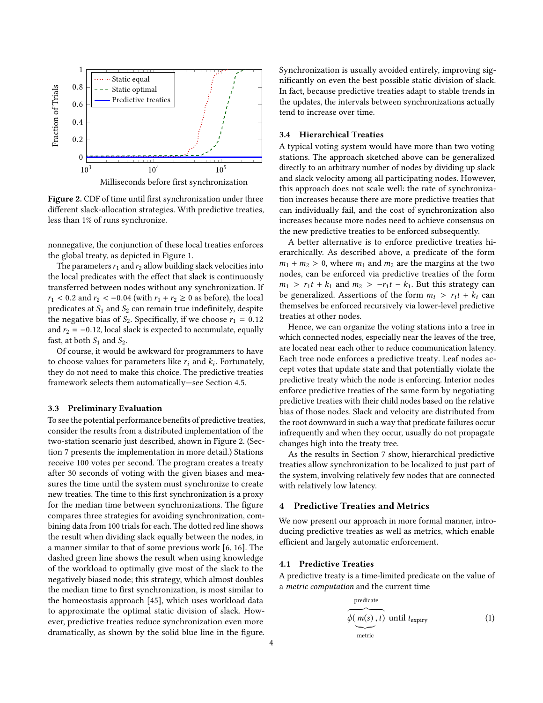<span id="page-3-0"></span>

Figure 2. CDF of time until first synchronization under three different slack-allocation strategies. With predictive treaties, less than 1% of runs synchronize.

nonnegative, the conjunction of these local treaties enforces the global treaty, as depicted in Figure [1.](#page-2-0)

The parameters  $r_1$  and  $r_2$  allow building slack velocities into the local predicates with the effect that slack is continuously transferred between nodes without any synchronization. If  $r_1$  < 0.2 and  $r_2$  < -0.04 (with  $r_1 + r_2 \ge 0$  as before), the local predicates at  $S_1$  and  $S_2$  can remain true indefinitely, despite the negative bias of  $S_2$ . Specifically, if we choose  $r_1 = 0.12$ and  $r_2 = -0.12$ , local slack is expected to accumulate, equally fast, at both  $S_1$  and  $S_2$ .

Of course, it would be awkward for programmers to have to choose values for parameters like  $r_i$  and  $k_i$ . Fortunately, they do not need to make this above. The predictive traction they do not need to make this choice. The predictive treaties framework selects them automatically—see Section [4.5.](#page-5-0)

#### 3.3 Preliminary Evaluation

To see the potential performance benefits of predictive treaties, consider the results from a distributed implementation of the two-station scenario just described, shown in Figure [2.](#page-3-0) (Section [7](#page-9-0) presents the implementation in more detail.) Stations receive 100 votes per second. The program creates a treaty after 30 seconds of voting with the given biases and measures the time until the system must synchronize to create new treaties. The time to this first synchronization is a proxy for the median time between synchronizations. The figure compares three strategies for avoiding synchronization, combining data from 100 trials for each. The dotted red line shows the result when dividing slack equally between the nodes, in a manner similar to that of some previous work [\[6,](#page-14-11) [16\]](#page-14-14). The dashed green line shows the result when using knowledge of the workload to optimally give most of the slack to the negatively biased node; this strategy, which almost doubles the median time to first synchronization, is most similar to the homeostasis approach [\[45\]](#page-15-1), which uses workload data to approximate the optimal static division of slack. However, predictive treaties reduce synchronization even more dramatically, as shown by the solid blue line in the figure.

Synchronization is usually avoided entirely, improving significantly on even the best possible static division of slack. In fact, because predictive treaties adapt to stable trends in the updates, the intervals between synchronizations actually tend to increase over time.

## 3.4 Hierarchical Treaties

A typical voting system would have more than two voting stations. The approach sketched above can be generalized directly to an arbitrary number of nodes by dividing up slack and slack velocity among all participating nodes. However, this approach does not scale well: the rate of synchronization increases because there are more predictive treaties that can individually fail, and the cost of synchronization also increases because more nodes need to achieve consensus on the new predictive treaties to be enforced subsequently.

A better alternative is to enforce predictive treaties hierarchically. As described above, a predicate of the form  $m_1 + m_2 > 0$ , where  $m_1$  and  $m_2$  are the margins at the two nodes, can be enforced via predictive treaties of the form  $m_1 > r_1t + k_1$  and  $m_2 > -r_1t - k_1$ . But this strategy can be generalized. Assertions of the form  $m_i > r_i t + k_i$  can themselves be enforced recursively via lower-level predictive treaties at other nodes.

Hence, we can organize the voting stations into a tree in which connected nodes, especially near the leaves of the tree, are located near each other to reduce communication latency. Each tree node enforces a predictive treaty. Leaf nodes accept votes that update state and that potentially violate the predictive treaty which the node is enforcing. Interior nodes enforce predictive treaties of the same form by negotiating predictive treaties with their child nodes based on the relative bias of those nodes. Slack and velocity are distributed from the root downward in such a way that predicate failures occur infrequently and when they occur, usually do not propagate changes high into the treaty tree.

As the results in Section [7](#page-9-0) show, hierarchical predictive treaties allow synchronization to be localized to just part of the system, involving relatively few nodes that are connected with relatively low latency.

#### 4 Predictive Treaties and Metrics

We now present our approach in more formal manner, introducing predictive treaties as well as metrics, which enable efficient and largely automatic enforcement.

#### 4.1 Predictive Treaties

A predictive treaty is a time-limited predicate on the value of a metric computation and the current time

<span id="page-3-1"></span>
$$
\overbrace{\phi(\underbrace{m(s), t}_{\text{metric}})}^{\text{predicate}} \text{until } t_{\text{expiry}} \tag{1}
$$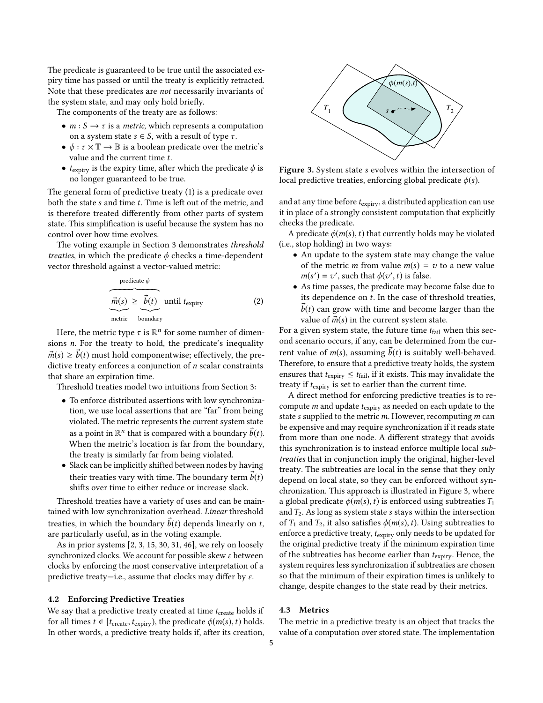The predicate is guaranteed to be true until the associated expiry time has passed or until the treaty is explicitly retracted. Note that these predicates are not necessarily invariants of the system state, and may only hold briefly.

The components of the treaty are as follows:

- $m : S \rightarrow \tau$  is a *metric*, which represents a computation on a system state  $s \in S$ , with a result of type  $\tau$ .
- $\phi : \tau \times \mathbb{T} \to \mathbb{B}$  is a boolean predicate over the metric's value and the current time t.
- $t_{\text{expiry}}$  is the expiry time, after which the predicate  $\phi$  is no longer guaranteed to be true.

The general form of predictive treaty [\(1\)](#page-3-1) is a predicate over both the state s and time t. Time is left out of the metric, and is therefore treated differently from other parts of system state. This simplification is useful because the system has no control over how time evolves.

The voting example in Section [3](#page-1-1) demonstrates threshold treaties, in which the predicate  $\phi$  checks a time-dependent vector threshold against a vector-valued metric:

$$
\underbrace{\overbrace{\vec{m}(s)}^{\text{predicate } \phi}}_{\text{metric}} \underbrace{\overline{\vec{b}(t)}}_{\text{boundary}} \text{until } t_{\text{expiry}} \tag{2}
$$

Here, the metric type  $\tau$  is  $\mathbb{R}^n$  for some number of dimensions n. For the treaty to hold, the predicate's inequality  $\vec{m}(s) \geq \vec{b}(t)$  must hold componentwise; effectively, the predictive treaty enforces a conjunction of n scalar constraints that share an expiration time.

Threshold treaties model two intuitions from Section [3:](#page-1-1)

- To enforce distributed assertions with low synchronization, we use local assertions that are "far" from being violated. The metric represents the current system state as a point in  $\mathbb{R}^n$  that is compared with a boundary  $\vec{b}(t)$ . When the metric's location is far from the boundary, the treaty is similarly far from being violated.
- Slack can be implicitly shifted between nodes by having their treaties vary with time. The boundary term  $\vec{b}(t)$ shifts over time to either reduce or increase slack.

Threshold treaties have a variety of uses and can be maintained with low synchronization overhead. Linear threshold treaties, in which the boundary  $\vec{b}(t)$  depends linearly on t, are particularly useful, as in the voting example.

As in prior systems [\[2,](#page-13-0) [3,](#page-13-1) [15,](#page-14-8) [30,](#page-14-15) [31,](#page-14-16) [46\]](#page-15-2), we rely on loosely synchronized clocks. We account for possible skew  $\varepsilon$  between clocks by enforcing the most conservative interpretation of a predictive treaty—i.e., assume that clocks may differ by  $\varepsilon$ .

#### <span id="page-4-1"></span>4.2 Enforcing Predictive Treaties

We say that a predictive treaty created at time  $t_{\text{create}}$  holds if for all times  $t \in [t_{\text{create}}, t_{\text{expiry}})$ , the predicate  $\phi(m(s), t)$  holds. In other words, a predictive treaty holds if, after its creation,

<span id="page-4-0"></span>

Figure 3. System state s evolves within the intersection of local predictive treaties, enforcing global predicate  $\phi(s)$ .

and at any time before  $t_{\text{expiry}}$ , a distributed application can use it in place of a strongly consistent computation that explicitly checks the predicate.

A predicate  $\phi(m(s),t)$  that currently holds may be violated (i.e., stop holding) in two ways:

- An update to the system state may change the value of the metric *m* from value  $m(s) = v$  to a new value  $m(s') = v'$ , such that  $\phi(v', t)$  is false.
- As time passes, the predicate may become false due to its dependence on  $t$ . In the case of threshold treaties,  $\vec{b}(t)$  can grow with time and become larger than the value of  $\vec{m}(s)$  in the current system state.

For a given system state, the future time  $t_{fail}$  when this second scenario occurs, if any, can be determined from the current value of  $m(s)$ , assuming  $\overline{b}(t)$  is suitably well-behaved. Therefore, to ensure that a predictive treaty holds, the system ensures that  $t_{\rm expiry} \leq t_{\rm fail}$  if it exists. This may invalidate the treaty if  $t_{\text{expiry}}$  is set to earlier than the current time.

A direct method for enforcing predictive treaties is to recompute  $m$  and update  $t_{\text{expiry}}$  as needed on each update to the state s supplied to the metric  $m$ . However, recomputing  $m$  can be expensive and may require synchronization if it reads state from more than one node. A different strategy that avoids this synchronization is to instead enforce multiple local subtreaties that in conjunction imply the original, higher-level treaty. The subtreaties are local in the sense that they only depend on local state, so they can be enforced without synchronization. This approach is illustrated in Figure [3,](#page-4-0) where a global predicate  $\phi(m(s),t)$  is enforced using subtreaties  $T_1$ and  $T_2$ . As long as system state s stays within the intersection of  $T_1$  and  $T_2$ , it also satisfies  $\phi(m(s),t)$ . Using subtreaties to enforce a predictive treaty,  $t_{\text{expiry}}$  only needs to be updated for the original predictive treaty if the minimum expiration time of the subtreaties has become earlier than  $t_{\text{expirv}}$ . Hence, the system requires less synchronization if subtreaties are chosen so that the minimum of their expiration times is unlikely to change, despite changes to the state read by their metrics.

## 4.3 Metrics

The metric in a predictive treaty is an object that tracks the value of a computation over stored state. The implementation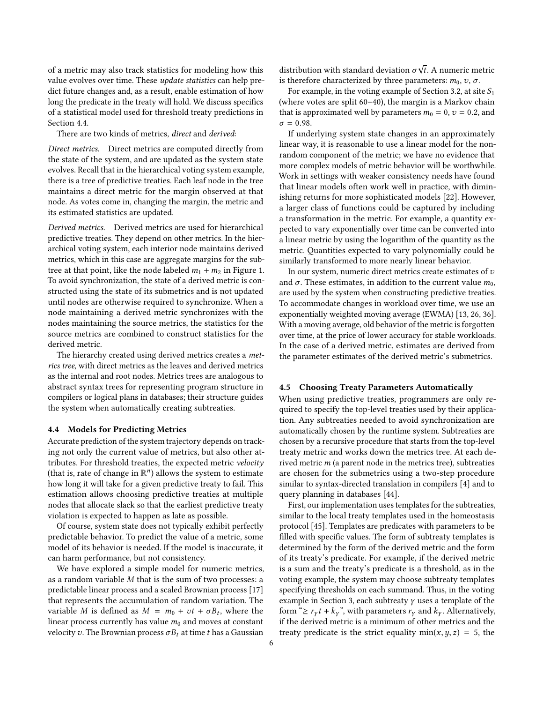of a metric may also track statistics for modeling how this value evolves over time. These update statistics can help predict future changes and, as a result, enable estimation of how long the predicate in the treaty will hold. We discuss specifics of a statistical model used for threshold treaty predictions in Section [4.4.](#page-5-1)

There are two kinds of metrics, direct and derived:

Direct metrics. Direct metrics are computed directly from the state of the system, and are updated as the system state evolves. Recall that in the hierarchical voting system example, there is a tree of predictive treaties. Each leaf node in the tree maintains a direct metric for the margin observed at that node. As votes come in, changing the margin, the metric and its estimated statistics are updated.

Derived metrics. Derived metrics are used for hierarchical predictive treaties. They depend on other metrics. In the hierarchical voting system, each interior node maintains derived metrics, which in this case are aggregate margins for the subtree at that point, like the node labeled  $m_1 + m_2$  in Figure [1.](#page-2-0) To avoid synchronization, the state of a derived metric is constructed using the state of its submetrics and is not updated until nodes are otherwise required to synchronize. When a node maintaining a derived metric synchronizes with the nodes maintaining the source metrics, the statistics for the source metrics are combined to construct statistics for the derived metric.

The hierarchy created using derived metrics creates a metrics tree, with direct metrics as the leaves and derived metrics as the internal and root nodes. Metrics trees are analogous to abstract syntax trees for representing program structure in compilers or logical plans in databases; their structure guides the system when automatically creating subtreaties.

#### <span id="page-5-1"></span>4.4 Models for Predicting Metrics

Accurate prediction of the system trajectory depends on tracking not only the current value of metrics, but also other attributes. For threshold treaties, the expected metric velocity (that is, rate of change in  $\mathbb{R}^n$ ) allows the system to estimate how long it will take for a given predictive treaty to fail. This estimation allows choosing predictive treaties at multiple nodes that allocate slack so that the earliest predictive treaty violation is expected to happen as late as possible.

Of course, system state does not typically exhibit perfectly predictable behavior. To predict the value of a metric, some model of its behavior is needed. If the model is inaccurate, it can harm performance, but not consistency.

We have explored a simple model for numeric metrics, as a random variable M that is the sum of two processes: a predictable linear process and a scaled Brownian process [\[17\]](#page-14-17) that represents the accumulation of random variation. The variable M is defined as  $M = m_0 + vt + \sigma B_t$ , where the linear process currently has value  $m_0$  and moves at constant velocity v. The Brownian process  $\sigma B_t$  at time t has a Gaussian

distribution with standard deviation  $\sigma \sqrt{t}$ . A numeric metric is therefore characterized by three parameters:  $m_0$ ,  $v$ ,  $\sigma$ .

For example, in the voting example of Section [3.2,](#page-2-1) at site  $S_1$ (where votes are split 60–40), the margin is a Markov chain that is approximated well by parameters  $m_0 = 0$ ,  $v = 0.2$ , and  $\sigma = 0.98$ .

If underlying system state changes in an approximately linear way, it is reasonable to use a linear model for the nonrandom component of the metric; we have no evidence that more complex models of metric behavior will be worthwhile. Work in settings with weaker consistency needs have found that linear models often work well in practice, with diminishing returns for more sophisticated models [\[22\]](#page-14-18). However, a larger class of functions could be captured by including a transformation in the metric. For example, a quantity expected to vary exponentially over time can be converted into a linear metric by using the logarithm of the quantity as the metric. Quantities expected to vary polynomially could be similarly transformed to more nearly linear behavior.

In our system, numeric direct metrics create estimates of  $v$ and  $\sigma$ . These estimates, in addition to the current value  $m_0$ , are used by the system when constructing predictive treaties. To accommodate changes in workload over time, we use an exponentially weighted moving average (EWMA) [\[13,](#page-14-19) [26,](#page-14-20) [36\]](#page-14-21). With a moving average, old behavior of the metric is forgotten over time, at the price of lower accuracy for stable workloads. In the case of a derived metric, estimates are derived from the parameter estimates of the derived metric's submetrics.

## <span id="page-5-0"></span>4.5 Choosing Treaty Parameters Automatically

When using predictive treaties, programmers are only required to specify the top-level treaties used by their application. Any subtreaties needed to avoid synchronization are automatically chosen by the runtime system. Subtreaties are chosen by a recursive procedure that starts from the top-level treaty metric and works down the metrics tree. At each derived metric m (a parent node in the metrics tree), subtreaties are chosen for the submetrics using a two-step procedure similar to syntax-directed translation in compilers [\[4\]](#page-14-22) and to query planning in databases [\[44\]](#page-14-23).

First, our implementation uses templates for the subtreaties, similar to the local treaty templates used in the homeostasis protocol [\[45\]](#page-15-1). Templates are predicates with parameters to be filled with specific values. The form of subtreaty templates is determined by the form of the derived metric and the form of its treaty's predicate. For example, if the derived metric is a sum and the treaty's predicate is a threshold, as in the voting example, the system may choose subtreaty templates specifying thresholds on each summand. Thus, in the voting example in Section [3,](#page-1-1) each subtreaty  $\gamma$  uses a template of the form " $\geq r_Y t + k_Y$ ", with parameters  $r_Y$  and  $k_Y$ . Alternatively, if the derived metric is a minimum of other metrics and the treaty predicate is the strict equality  $min(x, y, z) = 5$ , the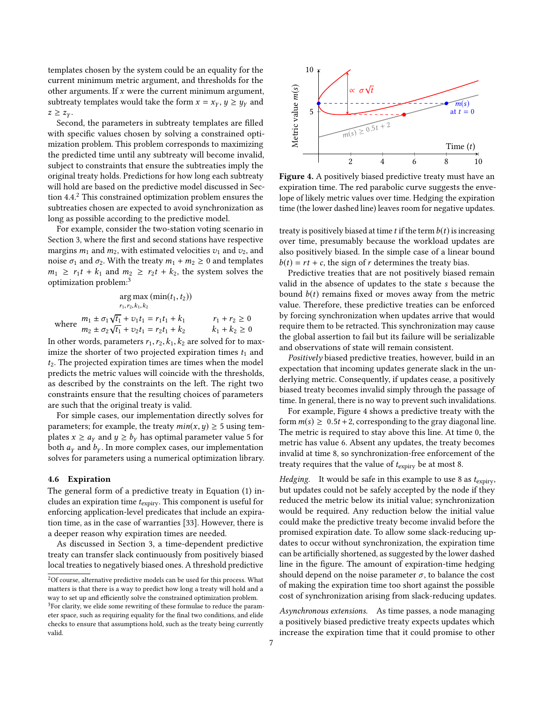templates chosen by the system could be an equality for the current minimum metric argument, and thresholds for the other arguments. If  $x$  were the current minimum argument, subtreaty templates would take the form  $x = x_y, y \ge y_y$  and  $z \geq z_{\gamma}$ .

Second, the parameters in subtreaty templates are filled with specific values chosen by solving a constrained optimization problem. This problem corresponds to maximizing the predicted time until any subtreaty will become invalid, subject to constraints that ensure the subtreaties imply the original treaty holds. Predictions for how long each subtreaty will hold are based on the predictive model discussed in Section [4.4.](#page-5-1)[2](#page-6-0) This constrained optimization problem ensures the subtreaties chosen are expected to avoid synchronization as long as possible according to the predictive model.

For example, consider the two-station voting scenario in Section [3,](#page-1-1) where the first and second stations have respective margins  $m_1$  and  $m_2$ , with estimated velocities  $v_1$  and  $v_2$ , and noise  $\sigma_1$  and  $\sigma_2$ . With the treaty  $m_1 + m_2 \geq 0$  and templates  $m_1 \ge r_1 t + k_1$  and  $m_2 \ge r_2 t + k_2$ , the system solves the optimization problem:[3](#page-6-1)

$$
\arg \max_{r_1, r_2, k_1, k_2} (\min(t_1, t_2))
$$
  

$$
m_1 \pm \sigma_1 \sqrt{t_1} + v_1 t_1 = r_1 t_1 + k_1 \qquad r_1 + r_2 \ge 0
$$
  

$$
m_2 \pm \sigma_2 \sqrt{t_1} + v_2 t_1 = r_2 t_1 + k_2 \qquad k_1 + k_2 \ge 0
$$

In other words, parameters  $r_1, r_2, k_1, k_2$  are solved for to maximize the shorter of two projected expiration times  $t_1$  and  $t_2$ . The projected expiration times are times when the model predicts the metric values will coincide with the thresholds, as described by the constraints on the left. The right two constraints ensure that the resulting choices of parameters are such that the original treaty is valid.

For simple cases, our implementation directly solves for parameters; for example, the treaty  $min(x, y) \ge 5$  using templates  $x \ge a_y$  and  $y \ge b_y$  has optimal parameter value 5 for both  $a<sub>y</sub>$  and  $b<sub>y</sub>$ . In more complex cases, our implementation solves for parameters using a numerical optimization library.

#### 4.6 Expiration

The general form of a predictive treaty in Equation [\(1\)](#page-3-1) includes an expiration time  $t_{\text{expiry}}$ . This component is useful for enforcing application-level predicates that include an expiration time, as in the case of warranties [\[33\]](#page-14-0). However, there is a deeper reason why expiration times are needed.

As discussed in Section [3,](#page-1-1) a time-dependent predictive treaty can transfer slack continuously from positively biased local treaties to negatively biased ones. A threshold predictive

<span id="page-6-2"></span>

Figure 4. A positively biased predictive treaty must have an expiration time. The red parabolic curve suggests the envelope of likely metric values over time. Hedging the expiration time (the lower dashed line) leaves room for negative updates.

treaty is positively biased at time t if the term  $b(t)$  is increasing over time, presumably because the workload updates are also positively biased. In the simple case of a linear bound  $b(t) = rt + c$ , the sign of r determines the treaty bias.

Predictive treaties that are not positively biased remain valid in the absence of updates to the state s because the bound  $b(t)$  remains fixed or moves away from the metric value. Therefore, these predictive treaties can be enforced by forcing synchronization when updates arrive that would require them to be retracted. This synchronization may cause the global assertion to fail but its failure will be serializable and observations of state will remain consistent.

Positively biased predictive treaties, however, build in an expectation that incoming updates generate slack in the underlying metric. Consequently, if updates cease, a positively biased treaty becomes invalid simply through the passage of time. In general, there is no way to prevent such invalidations.

For example, Figure [4](#page-6-2) shows a predictive treaty with the form  $m(s) \geq 0.5t + 2$ , corresponding to the gray diagonal line. The metric is required to stay above this line. At time 0, the metric has value 6. Absent any updates, the treaty becomes invalid at time 8, so synchronization-free enforcement of the treaty requires that the value of  $t_{\text{expiry}}$  be at most 8.

*Hedging.* It would be safe in this example to use 8 as  $t_{\text{expirv}}$ , but updates could not be safely accepted by the node if they reduced the metric below its initial value; synchronization would be required. Any reduction below the initial value could make the predictive treaty become invalid before the promised expiration date. To allow some slack-reducing updates to occur without synchronization, the expiration time can be artificially shortened, as suggested by the lower dashed line in the figure. The amount of expiration-time hedging should depend on the noise parameter  $\sigma$ , to balance the cost of making the expiration time too short against the possible cost of synchronization arising from slack-reducing updates.

Asynchronous extensions. As time passes, a node managing a positively biased predictive treaty expects updates which increase the expiration time that it could promise to other

<span id="page-6-1"></span><span id="page-6-0"></span> $^2 {\rm Of}$  course, alternative predictive models can be used for this process. What matters is that there is a way to predict how long a treaty will hold and a way to set up and efficiently solve the constrained optimization problem. <sup>3</sup>For clarity, we elide some rewriting of these formulae to reduce the parameter space, such as requiring equality for the final two conditions, and elide checks to ensure that assumptions hold, such as the treaty being currently valid.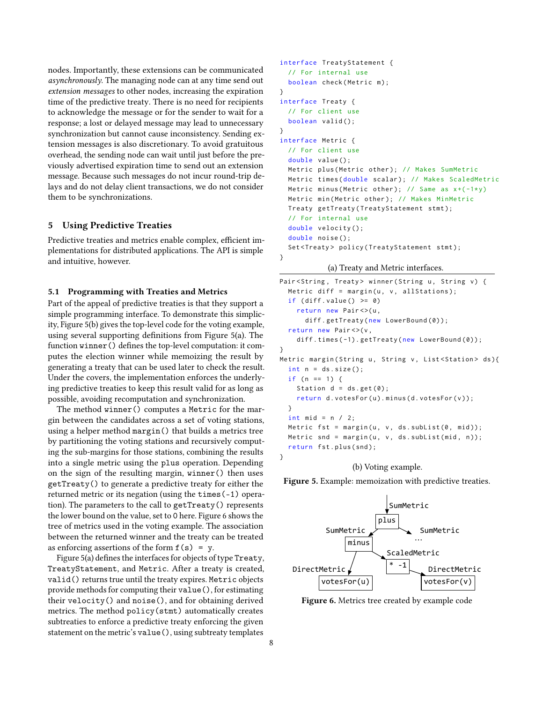nodes. Importantly, these extensions can be communicated asynchronously. The managing node can at any time send out extension messages to other nodes, increasing the expiration time of the predictive treaty. There is no need for recipients to acknowledge the message or for the sender to wait for a response; a lost or delayed message may lead to unnecessary synchronization but cannot cause inconsistency. Sending extension messages is also discretionary. To avoid gratuitous overhead, the sending node can wait until just before the previously advertised expiration time to send out an extension message. Because such messages do not incur round-trip delays and do not delay client transactions, we do not consider them to be synchronizations.

## <span id="page-7-2"></span>5 Using Predictive Treaties

Predictive treaties and metrics enable complex, efficient implementations for distributed applications. The API is simple and intuitive, however.

## 5.1 Programming with Treaties and Metrics

Part of the appeal of predictive treaties is that they support a simple programming interface. To demonstrate this simplicity, Figure [5\(](#page-7-0)b) gives the top-level code for the voting example, using several supporting definitions from Figure [5\(](#page-7-0)a). The function winner() defines the top-level computation: it computes the election winner while memoizing the result by generating a treaty that can be used later to check the result. Under the covers, the implementation enforces the underlying predictive treaties to keep this result valid for as long as possible, avoiding recomputation and synchronization.

The method winner() computes a Metric for the margin between the candidates across a set of voting stations, using a helper method margin() that builds a metrics tree by partitioning the voting stations and recursively computing the sub-margins for those stations, combining the results into a single metric using the plus operation. Depending on the sign of the resulting margin, winner() then uses getTreaty() to generate a predictive treaty for either the returned metric or its negation (using the times(-1) operation). The parameters to the call to getTreaty() represents the lower bound on the value, set to 0 here. Figure [6](#page-7-1) shows the tree of metrics used in the voting example. The association between the returned winner and the treaty can be treated as enforcing assertions of the form  $f(s) = y$ .

Figure [5\(](#page-7-0)a) defines the interfaces for objects of type Treaty, TreatyStatement, and Metric. After a treaty is created, valid() returns true until the treaty expires. Metric objects provide methods for computing their value(), for estimating their velocity() and noise(), and for obtaining derived metrics. The method policy(stmt) automatically creates subtreaties to enforce a predictive treaty enforcing the given statement on the metric's value(), using subtreaty templates

```
interface TreatyStatement {
  // For internal use
  boolean check (Metric m);
}
interface Treaty {
  // For client use
  boolean valid();
}
interface Metric {
  // For client use
  double value ();
  Metric plus (Metric other); // Makes SumMetric
  Metric times (double scalar); // Makes ScaledMetric
  Metric minus (Metric other); // Same as x+(-1*y)Metric min (Metric other); // Makes MinMetric
  Treaty getTreaty (TreatyStatement stmt);
  // For internal use
  double velocity ();
  double noise ();
  Set<Treaty> policy(TreatyStatement stmt);
}
```
(a) Treaty and Metric interfaces.

```
Pair < String, Treaty > winner (String u, String v) {
  Metric diff = margin(u, v, allStations);
  if (diff.value() \ge 0)return new Pair <> (u,
      diff.getTreaty(new LowerBound(0));
  return new Pair <> (v,
    diff.times(-1).getTreaty(new LowerBound(0));
}
Metric margin (String u, String v, List<Station> ds){
  int n = ds.size();if (n == 1) {
    Station d = ds.get(0);return d. votesFor(u).minus(d. votesFor(v));}
  int mid = n / 2;
  Metric fst = margin(u, v, ds.subList(0, mid));
  Metric snd = margin(u, v, ds.subList(mid, n));
  return fst.plus(snd);
}
```
(b) Voting example.

Figure 5. Example: memoization with predictive treaties.

<span id="page-7-1"></span>

Figure 6. Metrics tree created by example code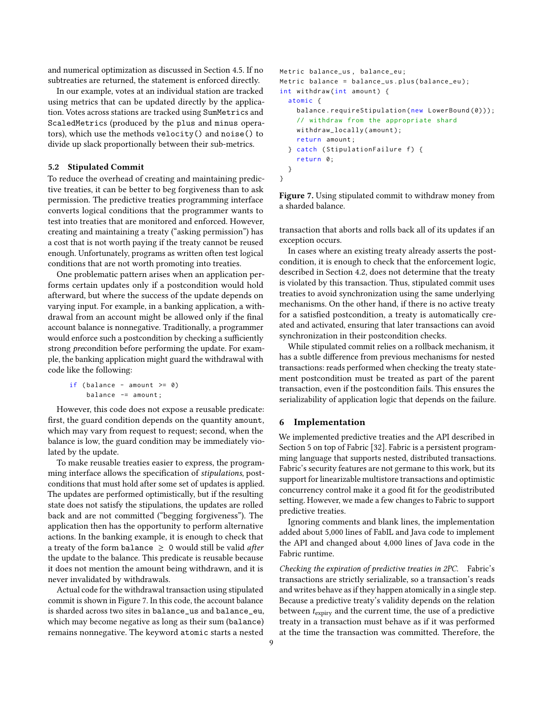and numerical optimization as discussed in Section [4.5.](#page-5-0) If no subtreaties are returned, the statement is enforced directly.

In our example, votes at an individual station are tracked using metrics that can be updated directly by the application. Votes across stations are tracked using SumMetrics and ScaledMetrics (produced by the plus and minus operators), which use the methods velocity() and noise() to divide up slack proportionally between their sub-metrics.

## <span id="page-8-1"></span>5.2 Stipulated Commit

To reduce the overhead of creating and maintaining predictive treaties, it can be better to beg forgiveness than to ask permission. The predictive treaties programming interface converts logical conditions that the programmer wants to test into treaties that are monitored and enforced. However, creating and maintaining a treaty ("asking permission") has a cost that is not worth paying if the treaty cannot be reused enough. Unfortunately, programs as written often test logical conditions that are not worth promoting into treaties.

One problematic pattern arises when an application performs certain updates only if a postcondition would hold afterward, but where the success of the update depends on varying input. For example, in a banking application, a withdrawal from an account might be allowed only if the final account balance is nonnegative. Traditionally, a programmer would enforce such a postcondition by checking a sufficiently strong precondition before performing the update. For example, the banking application might guard the withdrawal with code like the following:

```
if (balance - amount >= 0)
   balance -= amount ;
```
However, this code does not expose a reusable predicate: first, the guard condition depends on the quantity amount, which may vary from request to request; second, when the balance is low, the guard condition may be immediately violated by the update.

To make reusable treaties easier to express, the programming interface allows the specification of stipulations, postconditions that must hold after some set of updates is applied. The updates are performed optimistically, but if the resulting state does not satisfy the stipulations, the updates are rolled back and are not committed ("begging forgiveness"). The application then has the opportunity to perform alternative actions. In the banking example, it is enough to check that a treaty of the form balance  $\geq 0$  would still be valid after the update to the balance. This predicate is reusable because it does not mention the amount being withdrawn, and it is never invalidated by withdrawals.

Actual code for the withdrawal transaction using stipulated commit is shown in Figure [7.](#page-8-0) In this code, the account balance is sharded across two sites in balance\_us and balance\_eu, which may become negative as long as their sum (balance) remains nonnegative. The keyword atomic starts a nested

```
Metric balance_us , balance_eu ;
Metric balance = balance_us.plus(balance_eu);
int withdraw (int amount) {
  atomic {
    balance.requireStipulation (new LowerBound (0)));
    // withdraw from the appropriate shard
    withdraw_locally ( amount );
    return amount ;
  } catch (StipulationFailure f) {
    return 0;
  }
}
```
Figure 7. Using stipulated commit to withdraw money from a sharded balance.

transaction that aborts and rolls back all of its updates if an exception occurs.

In cases where an existing treaty already asserts the postcondition, it is enough to check that the enforcement logic, described in Section [4.2,](#page-4-1) does not determine that the treaty is violated by this transaction. Thus, stipulated commit uses treaties to avoid synchronization using the same underlying mechanisms. On the other hand, if there is no active treaty for a satisfied postcondition, a treaty is automatically created and activated, ensuring that later transactions can avoid synchronization in their postcondition checks.

While stipulated commit relies on a rollback mechanism, it has a subtle difference from previous mechanisms for nested transactions: reads performed when checking the treaty statement postcondition must be treated as part of the parent transaction, even if the postcondition fails. This ensures the serializability of application logic that depends on the failure.

# 6 Implementation

We implemented predictive treaties and the API described in Section [5](#page-7-2) on top of Fabric [\[32\]](#page-14-24). Fabric is a persistent programming language that supports nested, distributed transactions. Fabric's security features are not germane to this work, but its support for linearizable multistore transactions and optimistic concurrency control make it a good fit for the geodistributed setting. However, we made a few changes to Fabric to support predictive treaties.

Ignoring comments and blank lines, the implementation added about 5,000 lines of FabIL and Java code to implement the API and changed about 4,000 lines of Java code in the Fabric runtime.

Checking the expiration of predictive treaties in 2PC. Fabric's transactions are strictly serializable, so a transaction's reads and writes behave as if they happen atomically in a single step. Because a predictive treaty's validity depends on the relation between  $t_{\text{expirv}}$  and the current time, the use of a predictive treaty in a transaction must behave as if it was performed at the time the transaction was committed. Therefore, the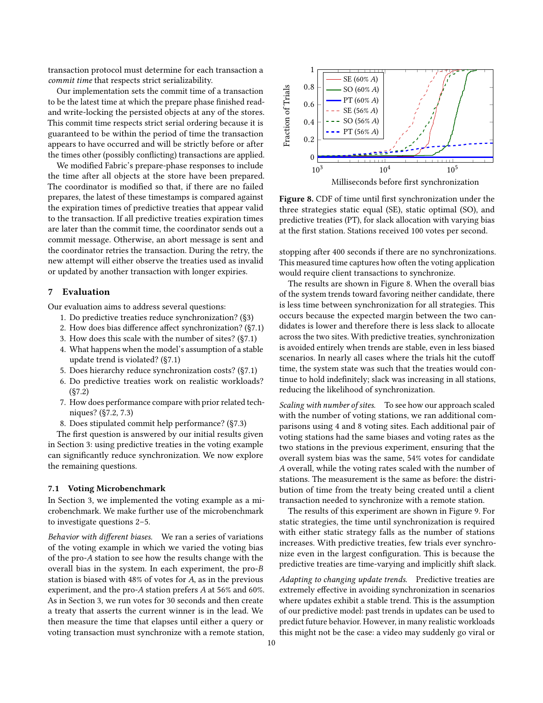transaction protocol must determine for each transaction a commit time that respects strict serializability.

Our implementation sets the commit time of a transaction to be the latest time at which the prepare phase finished readand write-locking the persisted objects at any of the stores. This commit time respects strict serial ordering because it is guaranteed to be within the period of time the transaction appears to have occurred and will be strictly before or after the times other (possibly conflicting) transactions are applied.

We modified Fabric's prepare-phase responses to include the time after all objects at the store have been prepared. The coordinator is modified so that, if there are no failed prepares, the latest of these timestamps is compared against the expiration times of predictive treaties that appear valid to the transaction. If all predictive treaties expiration times are later than the commit time, the coordinator sends out a commit message. Otherwise, an abort message is sent and the coordinator retries the transaction. During the retry, the new attempt will either observe the treaties used as invalid or updated by another transaction with longer expiries.

# <span id="page-9-0"></span>7 Evaluation

Our evaluation aims to address several questions:

- 1. Do predictive treaties reduce synchronization? ([§3\)](#page-1-1)
- <span id="page-9-2"></span>2. How does bias difference affect synchronization? ([§7.1\)](#page-9-1)
- 3. How does this scale with the number of sites? ([§7.1\)](#page-9-1)
- 4. What happens when the model's assumption of a stable update trend is violated? ([§7.1\)](#page-9-1)
- <span id="page-9-3"></span>5. Does hierarchy reduce synchronization costs? ([§7.1\)](#page-9-1)
- 6. Do predictive treaties work on realistic workloads? ([§7.2\)](#page-10-0)
- 7. How does performance compare with prior related techniques? ([§7.2,](#page-10-0) [7.3\)](#page-11-0)
- 8. Does stipulated commit help performance? ([§7.3\)](#page-11-0)

The first question is answered by our initial results given in Section [3:](#page-1-1) using predictive treaties in the voting example can significantly reduce synchronization. We now explore the remaining questions.

#### <span id="page-9-1"></span>7.1 Voting Microbenchmark

In Section [3,](#page-1-1) we implemented the voting example as a microbenchmark. We make further use of the microbenchmark to investigate questions [2](#page-9-2)[–5.](#page-9-3)

Behavior with different biases. We ran a series of variations of the voting example in which we varied the voting bias of the pro-A station to see how the results change with the overall bias in the system. In each experiment, the pro-B station is biased with 48% of votes for A, as in the previous experiment, and the pro-A station prefers A at 56% and 60%. As in Section [3,](#page-1-1) we run votes for 30 seconds and then create a treaty that asserts the current winner is in the lead. We then measure the time that elapses until either a query or voting transaction must synchronize with a remote station,

<span id="page-9-4"></span>

Figure 8. CDF of time until first synchronization under the three strategies static equal (SE), static optimal (SO), and predictive treaties (PT), for slack allocation with varying bias at the first station. Stations received 100 votes per second.

stopping after 400 seconds if there are no synchronizations. This measured time captures how often the voting application would require client transactions to synchronize.

The results are shown in Figure [8.](#page-9-4) When the overall bias of the system trends toward favoring neither candidate, there is less time between synchronization for all strategies. This occurs because the expected margin between the two candidates is lower and therefore there is less slack to allocate across the two sites. With predictive treaties, synchronization is avoided entirely when trends are stable, even in less biased scenarios. In nearly all cases where the trials hit the cutoff time, the system state was such that the treaties would continue to hold indefinitely; slack was increasing in all stations, reducing the likelihood of synchronization.

Scaling with number of sites. To see how our approach scaled with the number of voting stations, we ran additional comparisons using 4 and 8 voting sites. Each additional pair of voting stations had the same biases and voting rates as the two stations in the previous experiment, ensuring that the overall system bias was the same, 54% votes for candidate A overall, while the voting rates scaled with the number of stations. The measurement is the same as before: the distribution of time from the treaty being created until a client transaction needed to synchronize with a remote station.

The results of this experiment are shown in Figure [9.](#page-10-1) For static strategies, the time until synchronization is required with either static strategy falls as the number of stations increases. With predictive treaties, few trials ever synchronize even in the largest configuration. This is because the predictive treaties are time-varying and implicitly shift slack.

Adapting to changing update trends. Predictive treaties are extremely effective in avoiding synchronization in scenarios where updates exhibit a stable trend. This is the assumption of our predictive model: past trends in updates can be used to predict future behavior. However, in many realistic workloads this might not be the case: a video may suddenly go viral or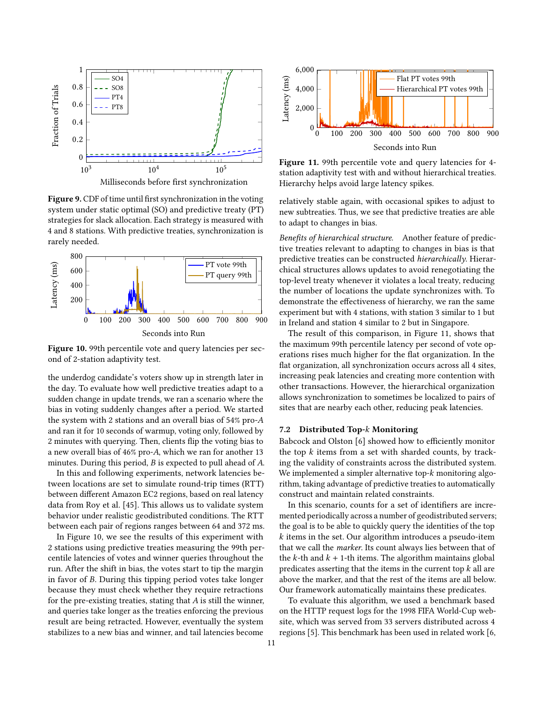<span id="page-10-1"></span>

Figure 9. CDF of time until first synchronization in the voting system under static optimal (SO) and predictive treaty (PT) strategies for slack allocation. Each strategy is measured with 4 and 8 stations. With predictive treaties, synchronization is rarely needed.

<span id="page-10-2"></span>

Figure 10. 99th percentile vote and query latencies per second of 2-station adaptivity test.

the underdog candidate's voters show up in strength later in the day. To evaluate how well predictive treaties adapt to a sudden change in update trends, we ran a scenario where the bias in voting suddenly changes after a period. We started the system with 2 stations and an overall bias of 54% pro-A and ran it for 10 seconds of warmup, voting only, followed by 2 minutes with querying. Then, clients flip the voting bias to a new overall bias of 46% pro-A, which we ran for another 13 minutes. During this period, B is expected to pull ahead of A.

In this and following experiments, network latencies between locations are set to simulate round-trip times (RTT) between different Amazon EC2 regions, based on real latency data from Roy et al. [\[45\]](#page-15-1). This allows us to validate system behavior under realistic geodistributed conditions. The RTT between each pair of regions ranges between 64 and 372 ms.

In Figure [10,](#page-10-2) we see the results of this experiment with 2 stations using predictive treaties measuring the 99th percentile latencies of votes and winner queries throughout the run. After the shift in bias, the votes start to tip the margin in favor of B. During this tipping period votes take longer because they must check whether they require retractions for the pre-existing treaties, stating that  $A$  is still the winner, and queries take longer as the treaties enforcing the previous result are being retracted. However, eventually the system stabilizes to a new bias and winner, and tail latencies become

<span id="page-10-3"></span>

Figure 11. 99th percentile vote and query latencies for 4station adaptivity test with and without hierarchical treaties. Hierarchy helps avoid large latency spikes.

relatively stable again, with occasional spikes to adjust to new subtreaties. Thus, we see that predictive treaties are able to adapt to changes in bias.

Benefits of hierarchical structure. Another feature of predictive treaties relevant to adapting to changes in bias is that predictive treaties can be constructed hierarchically. Hierarchical structures allows updates to avoid renegotiating the top-level treaty whenever it violates a local treaty, reducing the number of locations the update synchronizes with. To demonstrate the effectiveness of hierarchy, we ran the same experiment but with 4 stations, with station 3 similar to 1 but in Ireland and station 4 similar to 2 but in Singapore.

The result of this comparison, in Figure [11,](#page-10-3) shows that the maximum 99th percentile latency per second of vote operations rises much higher for the flat organization. In the flat organization, all synchronization occurs across all 4 sites, increasing peak latencies and creating more contention with other transactions. However, the hierarchical organization allows synchronization to sometimes be localized to pairs of sites that are nearby each other, reducing peak latencies.

# <span id="page-10-0"></span>7.2 Distributed Top-k Monitoring

Babcock and Olston [\[6\]](#page-14-11) showed how to efficiently monitor the top  $k$  items from a set with sharded counts, by tracking the validity of constraints across the distributed system. We implemented a simpler alternative top-k monitoring algorithm, taking advantage of predictive treaties to automatically construct and maintain related constraints.

In this scenario, counts for a set of identifiers are incremented periodically across a number of geodistributed servers; the goal is to be able to quickly query the identities of the top  $k$  items in the set. Our algorithm introduces a pseudo-item that we call the marker. Its count always lies between that of the k-th and  $k + 1$ -th items. The algorithm maintains global predicates asserting that the items in the current top  $k$  all are above the marker, and that the rest of the items are all below. Our framework automatically maintains these predicates.

To evaluate this algorithm, we used a benchmark based on the HTTP request logs for the 1998 FIFA World-Cup website, which was served from 33 servers distributed across 4 regions [\[5\]](#page-14-25). This benchmark has been used in related work [\[6,](#page-14-11)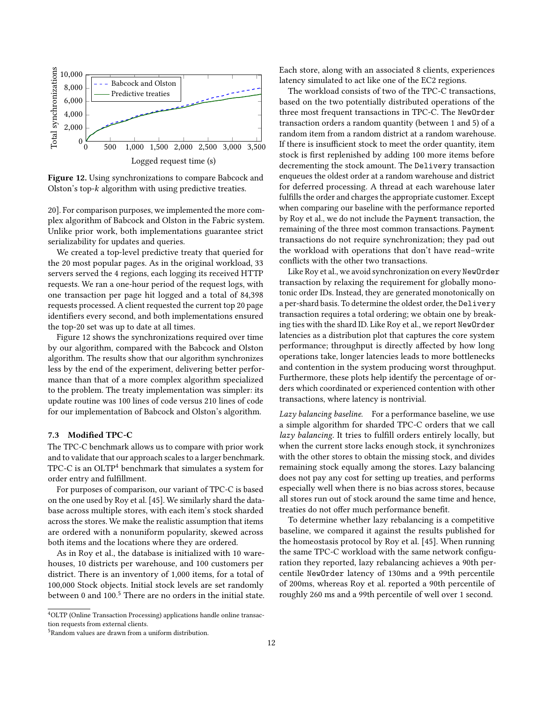<span id="page-11-1"></span>

Figure 12. Using synchronizations to compare Babcock and Olston's top-k algorithm with using predictive treaties.

[20\]](#page-14-26). For comparison purposes, we implemented the more complex algorithm of Babcock and Olston in the Fabric system. Unlike prior work, both implementations guarantee strict serializability for updates and queries.

We created a top-level predictive treaty that queried for the 20 most popular pages. As in the original workload, 33 servers served the 4 regions, each logging its received HTTP requests. We ran a one-hour period of the request logs, with one transaction per page hit logged and a total of 84,398 requests processed. A client requested the current top 20 page identifiers every second, and both implementations ensured the top-20 set was up to date at all times.

Figure [12](#page-11-1) shows the synchronizations required over time by our algorithm, compared with the Babcock and Olston algorithm. The results show that our algorithm synchronizes less by the end of the experiment, delivering better performance than that of a more complex algorithm specialized to the problem. The treaty implementation was simpler: its update routine was 100 lines of code versus 210 lines of code for our implementation of Babcock and Olston's algorithm.

## <span id="page-11-0"></span>7.3 Modified TPC-C

The TPC-C benchmark allows us to compare with prior work and to validate that our approach scales to a larger benchmark. TPC-C is an OLTP<sup>[4](#page-11-2)</sup> benchmark that simulates a system for order entry and fulfillment.

For purposes of comparison, our variant of TPC-C is based on the one used by Roy et al. [\[45\]](#page-15-1). We similarly shard the database across multiple stores, with each item's stock sharded across the stores. We make the realistic assumption that items are ordered with a nonuniform popularity, skewed across both items and the locations where they are ordered.

As in Roy et al., the database is initialized with 10 warehouses, 10 districts per warehouse, and 100 customers per district. There is an inventory of 1,000 items, for a total of 100,000 Stock objects. Initial stock levels are set randomly between 0 and  $100<sup>5</sup>$  $100<sup>5</sup>$  $100<sup>5</sup>$  There are no orders in the initial state. Each store, along with an associated 8 clients, experiences latency simulated to act like one of the EC2 regions.

The workload consists of two of the TPC-C transactions, based on the two potentially distributed operations of the three most frequent transactions in TPC-C. The NewOrder transaction orders a random quantity (between 1 and 5) of a random item from a random district at a random warehouse. If there is insufficient stock to meet the order quantity, item stock is first replenished by adding 100 more items before decrementing the stock amount. The Delivery transaction enqueues the oldest order at a random warehouse and district for deferred processing. A thread at each warehouse later fulfills the order and charges the appropriate customer. Except when comparing our baseline with the performance reported by Roy et al., we do not include the Payment transaction, the remaining of the three most common transactions. Payment transactions do not require synchronization; they pad out the workload with operations that don't have read–write conflicts with the other two transactions.

Like Roy et al., we avoid synchronization on every NewOrder transaction by relaxing the requirement for globally monotonic order IDs. Instead, they are generated monotonically on a per-shard basis. To determine the oldest order, the Delivery transaction requires a total ordering; we obtain one by breaking ties with the shard ID. Like Roy et al., we report NewOrder latencies as a distribution plot that captures the core system performance; throughput is directly affected by how long operations take, longer latencies leads to more bottlenecks and contention in the system producing worst throughput. Furthermore, these plots help identify the percentage of orders which coordinated or experienced contention with other transactions, where latency is nontrivial.

Lazy balancing baseline. For a performance baseline, we use a simple algorithm for sharded TPC-C orders that we call lazy balancing. It tries to fulfill orders entirely locally, but when the current store lacks enough stock, it synchronizes with the other stores to obtain the missing stock, and divides remaining stock equally among the stores. Lazy balancing does not pay any cost for setting up treaties, and performs especially well when there is no bias across stores, because all stores run out of stock around the same time and hence, treaties do not offer much performance benefit.

To determine whether lazy rebalancing is a competitive baseline, we compared it against the results published for the homeostasis protocol by Roy et al. [\[45\]](#page-15-1). When running the same TPC-C workload with the same network configuration they reported, lazy rebalancing achieves a 90th percentile NewOrder latency of 130ms and a 99th percentile of 200ms, whereas Roy et al. reported a 90th percentile of roughly 260 ms and a 99th percentile of well over 1 second.

<span id="page-11-2"></span><sup>4</sup>OLTP (Online Transaction Processing) applications handle online transaction requests from external clients.

<span id="page-11-3"></span><sup>5</sup>Random values are drawn from a uniform distribution.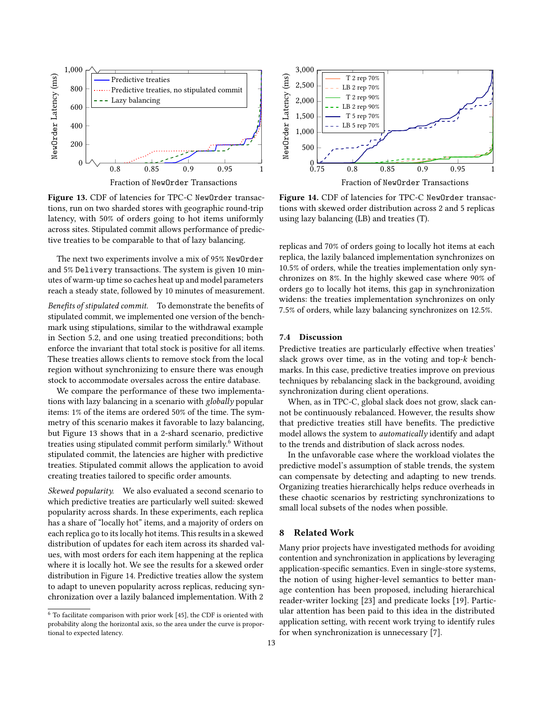<span id="page-12-0"></span>

Fraction of NewOrder Transactions

Figure 13. CDF of latencies for TPC-C NewOrder transactions, run on two sharded stores with geographic round-trip latency, with 50% of orders going to hot items uniformly across sites. Stipulated commit allows performance of predictive treaties to be comparable to that of lazy balancing.

The next two experiments involve a mix of 95% NewOrder and 5% Delivery transactions. The system is given 10 minutes of warm-up time so caches heat up and model parameters reach a steady state, followed by 10 minutes of measurement.

Benefits of stipulated commit. To demonstrate the benefits of stipulated commit, we implemented one version of the benchmark using stipulations, similar to the withdrawal example in Section [5.2,](#page-8-1) and one using treatied preconditions; both enforce the invariant that total stock is positive for all items. These treaties allows clients to remove stock from the local region without synchronizing to ensure there was enough stock to accommodate oversales across the entire database.

We compare the performance of these two implementations with lazy balancing in a scenario with globally popular items: 1% of the items are ordered 50% of the time. The symmetry of this scenario makes it favorable to lazy balancing, but Figure [13](#page-12-0) shows that in a 2-shard scenario, predictive treaties using stipulated commit perform similarly.<sup>[6](#page-12-1)</sup> Without stipulated commit, the latencies are higher with predictive treaties. Stipulated commit allows the application to avoid creating treaties tailored to specific order amounts.

Skewed popularity. We also evaluated a second scenario to which predictive treaties are particularly well suited: skewed popularity across shards. In these experiments, each replica has a share of "locally hot" items, and a majority of orders on each replica go to its locally hot items. This results in a skewed distribution of updates for each item across its sharded values, with most orders for each item happening at the replica where it is locally hot. We see the results for a skewed order distribution in Figure [14.](#page-12-2) Predictive treaties allow the system to adapt to uneven popularity across replicas, reducing synchronization over a lazily balanced implementation. With 2

<span id="page-12-2"></span>

Figure 14. CDF of latencies for TPC-C NewOrder transactions with skewed order distribution across 2 and 5 replicas using lazy balancing (LB) and treaties (T).

replicas and 70% of orders going to locally hot items at each replica, the lazily balanced implementation synchronizes on 10.5% of orders, while the treaties implementation only synchronizes on 8%. In the highly skewed case where 90% of orders go to locally hot items, this gap in synchronization widens: the treaties implementation synchronizes on only 7.5% of orders, while lazy balancing synchronizes on 12.5%.

## 7.4 Discussion

Predictive treaties are particularly effective when treaties' slack grows over time, as in the voting and top-k benchmarks. In this case, predictive treaties improve on previous techniques by rebalancing slack in the background, avoiding synchronization during client operations.

When, as in TPC-C, global slack does not grow, slack cannot be continuously rebalanced. However, the results show that predictive treaties still have benefits. The predictive model allows the system to automatically identify and adapt to the trends and distribution of slack across nodes.

In the unfavorable case where the workload violates the predictive model's assumption of stable trends, the system can compensate by detecting and adapting to new trends. Organizing treaties hierarchically helps reduce overheads in these chaotic scenarios by restricting synchronizations to small local subsets of the nodes when possible.

# 8 Related Work

Many prior projects have investigated methods for avoiding contention and synchronization in applications by leveraging application-specific semantics. Even in single-store systems, the notion of using higher-level semantics to better manage contention has been proposed, including hierarchical reader-writer locking [\[23\]](#page-14-27) and predicate locks [\[19\]](#page-14-28). Particular attention has been paid to this idea in the distributed application setting, with recent work trying to identify rules for when synchronization is unnecessary [\[7\]](#page-14-29).

<span id="page-12-1"></span> $^6$  To facilitate comparison with prior work [\[45\]](#page-15-1), the CDF is oriented with probability along the horizontal axis, so the area under the curve is proportional to expected latency.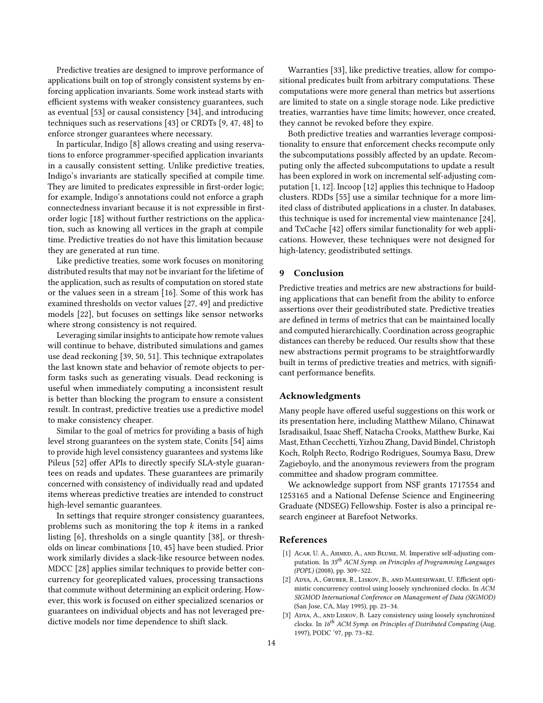Predictive treaties are designed to improve performance of applications built on top of strongly consistent systems by enforcing application invariants. Some work instead starts with efficient systems with weaker consistency guarantees, such as eventual [\[53\]](#page-15-3) or causal consistency [\[34\]](#page-14-30), and introducing techniques such as reservations [\[43\]](#page-14-31) or CRDTs [\[9,](#page-14-5) [47,](#page-15-4) [48\]](#page-15-5) to enforce stronger guarantees where necessary.

In particular, Indigo [\[8\]](#page-14-4) allows creating and using reservations to enforce programmer-specified application invariants in a causally consistent setting. Unlike predictive treaties, Indigo's invariants are statically specified at compile time. They are limited to predicates expressible in first-order logic; for example, Indigo's annotations could not enforce a graph connectedness invariant because it is not expressible in firstorder logic [\[18\]](#page-14-32) without further restrictions on the application, such as knowing all vertices in the graph at compile time. Predictive treaties do not have this limitation because they are generated at run time.

Like predictive treaties, some work focuses on monitoring distributed results that may not be invariant for the lifetime of the application, such as results of computation on stored state or the values seen in a stream [\[16\]](#page-14-14). Some of this work has examined thresholds on vector values [\[27,](#page-14-33) [49\]](#page-15-6) and predictive models [\[22\]](#page-14-18), but focuses on settings like sensor networks where strong consistency is not required.

Leveraging similar insights to anticipate how remote values will continue to behave, distributed simulations and games use dead reckoning [\[39,](#page-14-34) [50,](#page-15-7) [51\]](#page-15-8). This technique extrapolates the last known state and behavior of remote objects to perform tasks such as generating visuals. Dead reckoning is useful when immediately computing a inconsistent result is better than blocking the program to ensure a consistent result. In contrast, predictive treaties use a predictive model to make consistency cheaper.

Similar to the goal of metrics for providing a basis of high level strong guarantees on the system state, Conits [\[54\]](#page-15-9) aims to provide high level consistency guarantees and systems like Pileus [\[52\]](#page-15-10) offer APIs to directly specify SLA-style guarantees on reads and updates. These guarantees are primarily concerned with consistency of individually read and updated items whereas predictive treaties are intended to construct high-level semantic guarantees.

In settings that require stronger consistency guarantees, problems such as monitoring the top  $k$  items in a ranked listing [\[6\]](#page-14-11), thresholds on a single quantity [\[38\]](#page-14-35), or thresholds on linear combinations [\[10,](#page-14-36) [45\]](#page-15-1) have been studied. Prior work similarly divides a slack-like resource between nodes. MDCC [\[28\]](#page-14-37) applies similar techniques to provide better concurrency for georeplicated values, processing transactions that commute without determining an explicit ordering. However, this work is focused on either specialized scenarios or guarantees on individual objects and has not leveraged predictive models nor time dependence to shift slack.

Warranties [\[33\]](#page-14-0), like predictive treaties, allow for compositional predicates built from arbitrary computations. These computations were more general than metrics but assertions are limited to state on a single storage node. Like predictive treaties, warranties have time limits; however, once created, they cannot be revoked before they expire.

Both predictive treaties and warranties leverage compositionality to ensure that enforcement checks recompute only the subcomputations possibly affected by an update. Recomputing only the affected subcomputations to update a result has been explored in work on incremental self-adjusting computation [\[1,](#page-13-2) [12\]](#page-14-38). Incoop [\[12\]](#page-14-38) applies this technique to Hadoop clusters. RDDs [\[55\]](#page-15-11) use a similar technique for a more limited class of distributed applications in a cluster. In databases, this technique is used for incremental view maintenance [\[24\]](#page-14-39), and TxCache [\[42\]](#page-14-40) offers similar functionality for web applications. However, these techniques were not designed for high-latency, geodistributed settings.

# 9 Conclusion

Predictive treaties and metrics are new abstractions for building applications that can benefit from the ability to enforce assertions over their geodistributed state. Predictive treaties are defined in terms of metrics that can be maintained locally and computed hierarchically. Coordination across geographic distances can thereby be reduced. Our results show that these new abstractions permit programs to be straightforwardly built in terms of predictive treaties and metrics, with significant performance benefits.

## Acknowledgments

Many people have offered useful suggestions on this work or its presentation here, including Matthew Milano, Chinawat Isradisaikul, Isaac Sheff, Natacha Crooks, Matthew Burke, Kai Mast, Ethan Cecchetti, Yizhou Zhang, David Bindel, Christoph Koch, Rolph Recto, Rodrigo Rodrigues, Soumya Basu, Drew Zagieboylo, and the anonymous reviewers from the program committee and shadow program committee.

We acknowledge support from NSF grants 1717554 and 1253165 and a National Defense Science and Engineering Graduate (NDSEG) Fellowship. Foster is also a principal research engineer at Barefoot Networks.

# References

- <span id="page-13-2"></span>[1] ACAR, U. A., AHMED, A., AND BLUME, M. Imperative self-adjusting computation. In 35<sup>th</sup> ACM Symp. on Principles of Programming Languages (POPL) (2008), pp. 309–322.
- <span id="page-13-0"></span>[2] Adya, A., Gruber, R., Liskov, B., and Maheshwari, U. Efficient optimistic concurrency control using loosely synchronized clocks. In ACM SIGMOD International Conference on Management of Data (SIGMOD) (San Jose, CA, May 1995), pp. 23–34.
- <span id="page-13-1"></span>[3] Adya, A., and Liskov, B. Lazy consistency using loosely synchronized clocks. In 16<sup>th</sup> ACM Symp. on Principles of Distributed Computing (Aug. 1997), PODC '97, pp. 73–82.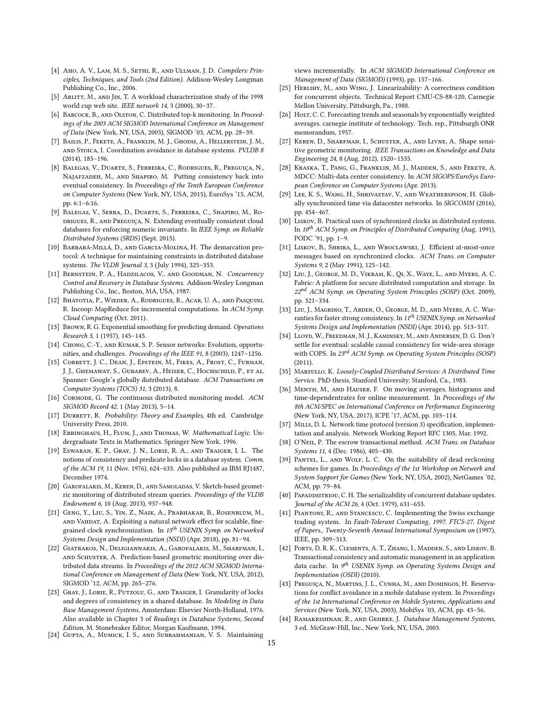- <span id="page-14-22"></span>[4] Aho, A. V., Lam, M. S., SETHI, R., AND ULLMAN, J. D. Compilers: Principles, Techniques, and Tools (2nd Edition). Addison-Wesley Longman Publishing Co., Inc., 2006.
- <span id="page-14-25"></span>[5] ARLITT, M., AND JIN, T. A workload characterization study of the 1998 world cup web site. IEEE network 14, 3 (2000), 30–37.
- <span id="page-14-11"></span>[6] BABCOCK, B., AND OLSTON, C. Distributed top-k monitoring. In Proceedings of the 2003 ACM SIGMOD International Conference on Management of Data (New York, NY, USA, 2003), SIGMOD '03, ACM, pp. 28–39.
- <span id="page-14-29"></span>[7] BAILIS, P., FEKETE, A., FRANKLIN, M. J., GHODSI, A., HELLERSTEIN, J. M., and Stoica, I. Coordination avoidance in database systems. PVLDB 8 (2014), 185–196.
- <span id="page-14-4"></span>[8] Balegas, V., Duarte, S., Ferreira, C., Rodrigues, R., Preguiça, N., Najafzadeh, M., and Shapiro, M. Putting consistency back into eventual consistency. In Proceedings of the Tenth European Conference on Computer Systems (New York, NY, USA, 2015), EuroSys '15, ACM, pp. 6:1–6:16.
- <span id="page-14-5"></span>[9] Balegas, V., Serra, D., Duarte, S., Ferreira, C., Shapiro, M., Rodrigues, R., and Preguiça, N. Extending eventually consistent cloud databases for enforcing numeric invariants. In IEEE Symp. on Reliable Distributed Systems (SRDS) (Sept. 2015).
- <span id="page-14-36"></span>[10] Barbará-Millá, D., and Garcia-Molina, H. The demarcation protocol: A technique for maintaining constraints in distributed database systems. The VLDB Journal 3, 3 (July 1994), 325–353.
- <span id="page-14-1"></span>[11] BERNSTEIN, P. A., HADZILACOS, V., AND GOODMAN, N. Concurrency Control and Recovery in Database Systems. Addison-Wesley Longman Publishing Co., Inc., Boston, MA, USA, 1987.
- <span id="page-14-38"></span>[12] BHATOTIA, P., WIEDER, A., RODRIGUES, R., ACAR, U. A., AND PASQUINI, R. Incoop: MapReduce for incremental computations. In ACM Symp. Cloud Computing (Oct. 2011).
- <span id="page-14-19"></span>[13] Brown, R. G. Exponential smoothing for predicting demand. Operations Research 5, 1 (1957), 145–145.
- <span id="page-14-12"></span>[14] CHONG, C.-Y., AND KUMAR, S. P. Sensor networks: Evolution, opportunities, and challenges. Proceedings of the IEEE 91, 8 (2003), 1247–1256.
- <span id="page-14-8"></span>[15] Corbett, J. C., Dean, J., Epstein, M., Fikes, A., Frost, C., Furman, J. J., Ghemawat, S., Gubarev, A., Heiser, C., Hochschild, P., et al. Spanner: Google's globally distributed database. ACM Transactions on Computer Systems (TOCS) 31, 3 (2013), 8.
- <span id="page-14-14"></span>[16] CORMODE, G. The continuous distributed monitoring model. ACM SIGMOD Record 42, 1 (May 2013), 5–14.
- <span id="page-14-17"></span>[17] DURRETT, R. Probability: Theory and Examples, 4th ed. Cambridge University Press, 2010.
- <span id="page-14-32"></span>[18] EBBINGHAUS, H., FLUM, J., AND THOMAS, W. Mathematical Logic. Undergraduate Texts in Mathematics. Springer New York, 1996.
- <span id="page-14-28"></span>[19] Eswaran, K. P., Gray, J. N., Lorie, R. A., and Traiger, I. L. The notions of consistency and predicate locks in a database system. Comm. of the ACM 19, 11 (Nov. 1976), 624–633. Also published as IBM RJ1487, December 1974.
- <span id="page-14-26"></span>[20] Garofalakis, M., Keren, D., and Samoladas, V. Sketch-based geometric monitoring of distributed stream queries. Proceedings of the VLDB Endowment 6, 10 (Aug. 2013), 937–948.
- <span id="page-14-9"></span>[21] Geng, Y., Liu, S., Yin, Z., Naik, A., Prabhakar, B., Rosenblum, M., and Vahdat, A. Exploiting a natural network effect for scalable, finegrained clock synchronization. In 15<sup>th</sup> USENIX Symp. on Networked Systems Design and Implementation (NSDI) (Apr. 2018), pp. 81–94.
- <span id="page-14-18"></span>[22] Giatrakos, N., Deligiannakis, A., Garofalakis, M., Sharfman, I., and Schuster, A. Prediction-based geometric monitoring over distributed data streams. In Proceedings of the 2012 ACM SIGMOD International Conference on Management of Data (New York, NY, USA, 2012), SIGMOD '12, ACM, pp. 265–276.
- <span id="page-14-27"></span>[23] Gray, J., Lorie, R., Putzolu, G., and Traiger, I. Granularity of locks and degrees of consistency in a shared database. In Modeling in Data Base Management Systems. Amsterdam: Elsevier North-Holland, 1976. Also available in Chapter 3 of Readings in Database Systems, Second Edition, M. Stonebraker Editor, Morgan Kaufmann, 1994.
- <span id="page-14-39"></span>[24] Gupta, A., Mumick, I. S., and Subrahmanian, V. S. Maintaining

views incrementally. In ACM SIGMOD International Conference on Management of Data (SIGMOD) (1993), pp. 157–166.

- <span id="page-14-2"></span>[25] HERLIHY, M., AND WING, J. Linearizability: A correctness condition for concurrent objects. Technical Report CMU-CS-88-120, Carnegie Mellon University, Pittsburgh, Pa., 1988.
- <span id="page-14-20"></span>[26] Holt, C. C. Forecasting trends and seasonals by exponentially weighted averages. carnegie institute of technology. Tech. rep., Pittsburgh ONR memorandum, 1957.
- <span id="page-14-33"></span>[27] Keren, D., Sharfman, I., Schuster, A., and Livne, A. Shape sensitive geometric monitoring. IEEE Transactions on Knowledge and Data Engineering 24, 8 (Aug. 2012), 1520–1535.
- <span id="page-14-37"></span>[28] Kraska, T., Pang, G., Franklin, M. J., Madden, S., and Fekete, A. MDCC: Multi-data center consistency. In ACM SIGOPS/EuroSys European Conference on Computer Systems (Apr. 2013).
- <span id="page-14-10"></span>[29] Lee, K. S., Wang, H., Shrivastav, V., and Weatherspoon, H. Globally synchronized time via datacenter networks. In SIGCOMM (2016), pp. 454–467.
- <span id="page-14-15"></span>[30] LISKOV, B. Practical uses of synchronized clocks in distributed systems. In  $10^{th}$  ACM Symp. on Principles of Distributed Computing (Aug. 1991), PODC '91, pp. 1–9.
- <span id="page-14-16"></span>[31] Liskov, B., Shrira, L., and Wroclawski, J. Efficient at-most-once messages based on synchronized clocks. ACM Trans. on Computer Systems 9, 2 (May 1991), 125–142.
- <span id="page-14-24"></span>[32] Liu, J., George, M. D., Vikram, K., Qi, X., Waye, L., and Myers, A. C. Fabric: A platform for secure distributed computation and storage. In 22<sup>nd</sup> ACM Symp. on Operating System Principles (SOSP) (Oct. 2009), pp. 321–334.
- <span id="page-14-0"></span>[33] Liu, J., Magrino, T., Arden, O., George, M. D., and Myers, A. C. Warranties for faster strong consistency. In  $11^{th}$  USENIX Symp. on Networked Systems Design and Implementation (NSDI) (Apr. 2014), pp. 513–517.
- <span id="page-14-30"></span>[34] LLOYD, W., FREEDMAN, M. J., KAMINSKY, M., AND ANDERSEN, D. G. Don't settle for eventual: scalable causal consistency for wide-area storage with COPS. In 23<sup>rd</sup> ACM Symp. on Operating System Principles (SOSP) (2011).
- <span id="page-14-7"></span>[35] MARZULLO, K. Loosely-Coupled Distributed Services: A Distributed Time Service. PhD thesis, Stanford University, Stanford, Ca., 1983.
- <span id="page-14-21"></span>[36] MENTH, M., AND HAUSER, F. On moving averages, histograms and time-dependentrates for online measurement. In Proceedings of the 8th ACM/SPEC on International Conference on Performance Engineering (New York, NY, USA, 2017), ICPE '17, ACM, pp. 103–114.
- <span id="page-14-6"></span>[37] MILLS, D. L. Network time protocol (version 3) specification, implementation and analysis. Network Working Report RFC 1305, Mar. 1992.
- <span id="page-14-35"></span>[38] O'NEIL, P. The escrow transactional method. ACM Trans. on Database Systems 11, 4 (Dec. 1986), 405–430.
- <span id="page-14-34"></span>[39] PANTEL, L., AND WOLF, L. C. On the suitability of dead reckoning schemes for games. In Proceedings of the 1st Workshop on Network and System Support for Games (New York, NY, USA, 2002), NetGames '02, ACM, pp. 79–84.
- <span id="page-14-3"></span>[40] PAPADIMITRIOU, C. H. The serializability of concurrent database updates. Journal of the ACM 26, 4 (Oct. 1979), 631–653.
- <span id="page-14-13"></span>[41] Piantoni, R., and Stancescu, C. Implementing the Swiss exchange trading system. In Fault-Tolerant Computing, 1997. FTCS-27. Digest of Papers., Twenty-Seventh Annual International Symposium on (1997), IEEE, pp. 309–313.
- <span id="page-14-40"></span>[42] PORTS, D. R. K., CLEMENTS, A. T., ZHANG, I., MADDEN, S., AND LISKOV, B. Transactional consistency and automatic management in an application data cache. In 9<sup>th</sup> USENIX Symp. on Operating Systems Design and Implementation (OSDI) (2010).
- <span id="page-14-31"></span>[43] PREGUICA, N., MARTINS, J. L., CUNHA, M., AND DOMINGOS, H. Reservations for conflict avoidance in a mobile database system. In Proceedings of the 1st International Conference on Mobile Systems, Applications and Services (New York, NY, USA, 2003), MobiSys '03, ACM, pp. 43–56.
- <span id="page-14-23"></span>[44] RAMAKRISHNAN, R., AND GEHRKE, J. Database Management Systems, 3 ed. McGraw-Hill, Inc., New York, NY, USA, 2003.